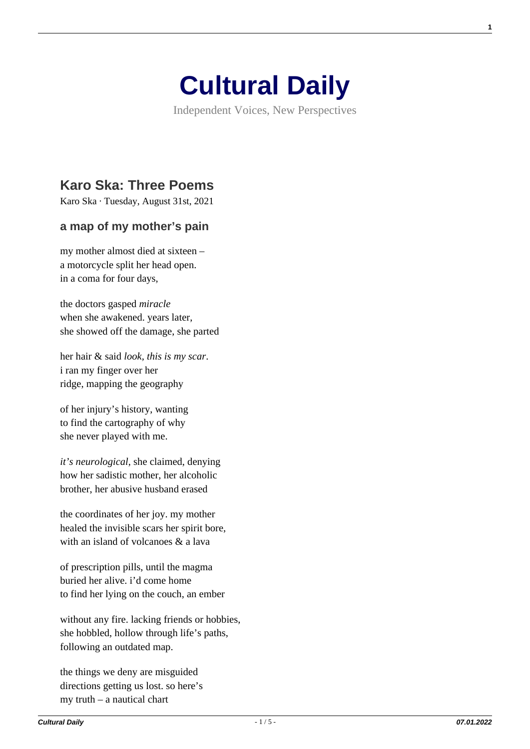

Independent Voices, New Perspectives

## **[Karo Ska: Three Poems](https://culturaldaily.com/karo-ska-three-poems/)**

Karo Ska · Tuesday, August 31st, 2021

## **a map of my mother's pain**

my mother almost died at sixteen – a motorcycle split her head open. in a coma for four days,

the doctors gasped *miracle* when she awakened. years later, she showed off the damage, she parted

her hair & said *look, this is my scar*. i ran my finger over her ridge, mapping the geography

of her injury's history, wanting to find the cartography of why she never played with me.

*it's neurological*, she claimed, denying how her sadistic mother, her alcoholic brother, her abusive husband erased

the coordinates of her joy. my mother healed the invisible scars her spirit bore, with an island of volcanoes  $\&$  a lava

of prescription pills, until the magma buried her alive. i'd come home to find her lying on the couch, an ember

without any fire. lacking friends or hobbies, she hobbled, hollow through life's paths, following an outdated map.

the things we deny are misguided directions getting us lost. so here's my truth – a nautical chart

**1**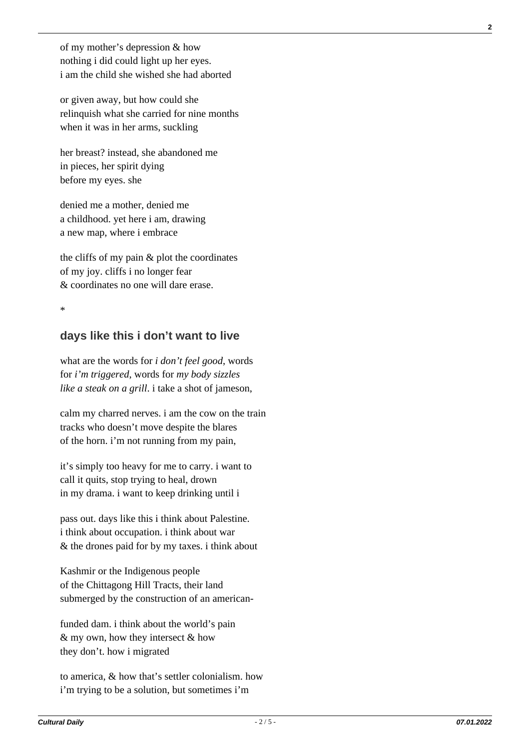of my mother's depression & how nothing i did could light up her eyes. i am the child she wished she had aborted

or given away, but how could she relinquish what she carried for nine months when it was in her arms, suckling

her breast? instead, she abandoned me in pieces, her spirit dying before my eyes. she

denied me a mother, denied me a childhood. yet here i am, drawing a new map, where i embrace

the cliffs of my pain & plot the coordinates of my joy. cliffs i no longer fear & coordinates no one will dare erase.

\*

## **days like this i don't want to live**

what are the words for *i don't feel good*, words for *i'm triggered*, words for *my body sizzles like a steak on a grill*. i take a shot of jameson,

calm my charred nerves. i am the cow on the train tracks who doesn't move despite the blares of the horn. i'm not running from my pain,

it's simply too heavy for me to carry. i want to call it quits, stop trying to heal, drown in my drama. i want to keep drinking until i

pass out. days like this i think about Palestine. i think about occupation. i think about war & the drones paid for by my taxes. i think about

Kashmir or the Indigenous people of the Chittagong Hill Tracts, their land submerged by the construction of an american-

funded dam. i think about the world's pain & my own, how they intersect & how they don't. how i migrated

to america, & how that's settler colonialism. how i'm trying to be a solution, but sometimes i'm

**2**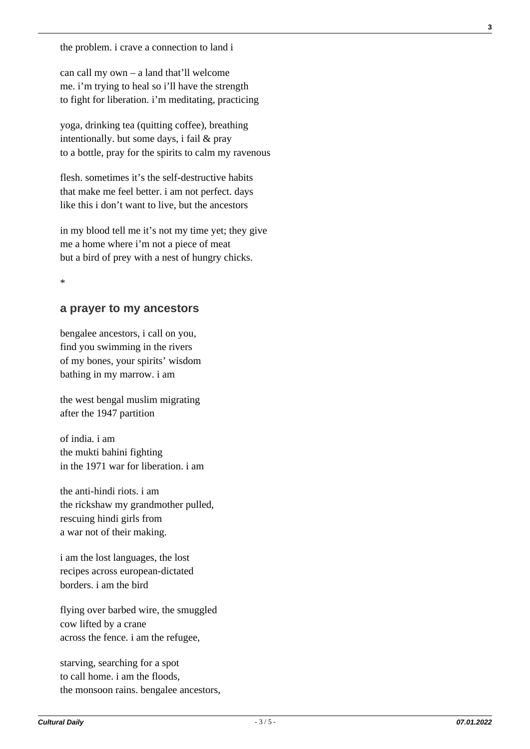the problem. i crave a connection to land i

can call my own – a land that'll welcome me. i'm trying to heal so i'll have the strength to fight for liberation. i'm meditating, practicing

yoga, drinking tea (quitting coffee), breathing intentionally. but some days, i fail & pray to a bottle, pray for the spirits to calm my ravenous

flesh. sometimes it's the self-destructive habits that make me feel better. i am not perfect. days like this i don't want to live, but the ancestors

in my blood tell me it's not my time yet; they give me a home where i'm not a piece of meat but a bird of prey with a nest of hungry chicks.

 $\ddot{\phantom{0}}$ 

## **a prayer to my ancestors**

bengalee ancestors, i call on you, find you swimming in the rivers of my bones, your spirits' wisdom bathing in my marrow. i am

the west bengal muslim migrating after the 1947 partition

of india. i am the mukti bahini fighting in the 1971 war for liberation. i am

the anti-hindi riots. i am the rickshaw my grandmother pulled, rescuing hindi girls from a war not of their making.

i am the lost languages, the lost recipes across european-dictated borders. i am the bird

flying over barbed wire, the smuggled cow lifted by a crane across the fence. i am the refugee,

starving, searching for a spot to call home. i am the floods, the monsoon rains. bengalee ancestors, **3**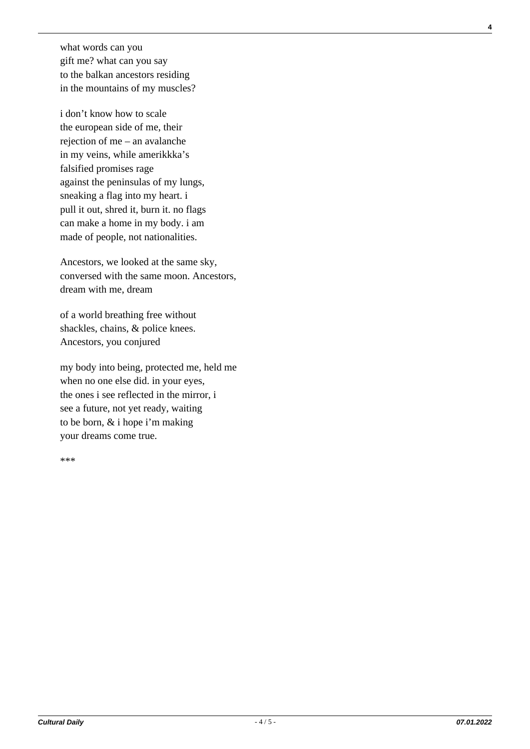what words can you gift me? what can you say to the balkan ancestors residing in the mountains of my muscles?

i don't know how to scale the european side of me, their rejection of me – an avalanche in my veins, while amerikkka's falsified promises rage against the peninsulas of my lungs, sneaking a flag into my heart. i pull it out, shred it, burn it. no flags can make a home in my body. i am made of people, not nationalities.

Ancestors, we looked at the same sky, conversed with the same moon. Ancestors, dream with me, dream

of a world breathing free without shackles, chains, & police knees. Ancestors, you conjured

my body into being, protected me, held me when no one else did. in your eyes, the ones i see reflected in the mirror, i see a future, not yet ready, waiting to be born, & i hope i'm making your dreams come true.

\*\*\*